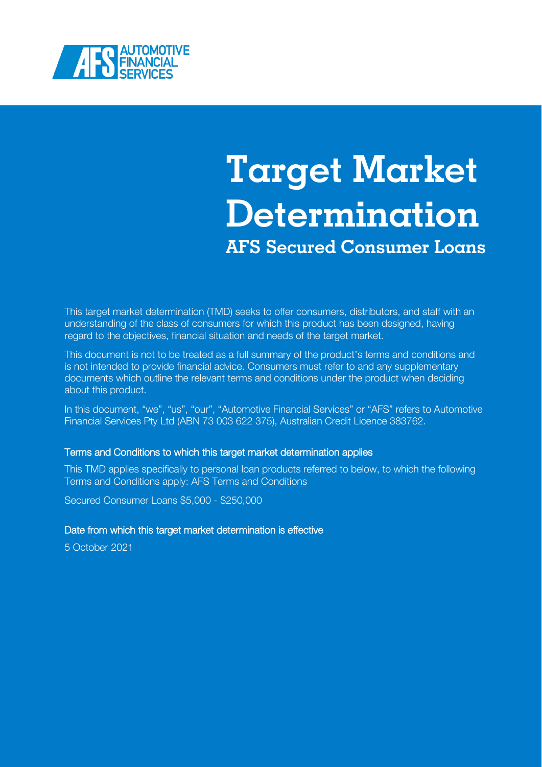

# **Target Market Determination AFS Secured Consumer Loans**

This target market determination (TMD) seeks to offer consumers, distributors, and staff with an understanding of the class of consumers for which this product has been designed, having regard to the objectives, financial situation and needs of the target market.

This document is not to be treated as a full summary of the product's terms and conditions and is not intended to provide financial advice. Consumers must refer to and any supplementary documents which outline the relevant terms and conditions under the product when deciding about this product.

In this document, "we", "us", "our", "Automotive Financial Services" or "AFS" refers to Automotive Financial Services Pty Ltd (ABN 73 003 622 375), Australian Credit Licence 383762.

#### Terms and Conditions to which this target market determination applies

This TMD applies specifically to personal loan products referred to below, to which the following Terms and Conditions apply: [AFS Terms and Conditions](https://www.afs.com.au/media/1895/tc_lcm.pdf)

Secured Consumer Loans \$5,000 - \$250,000

#### Date from which this target market determination is effective

5 October 2021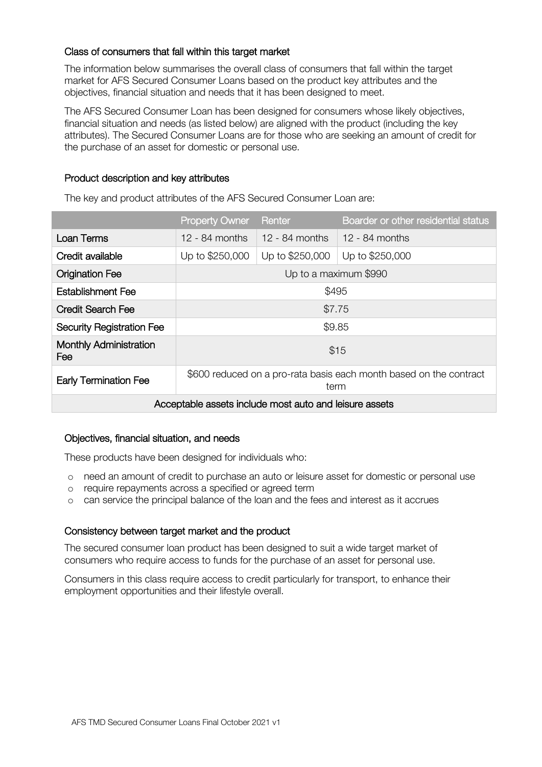## Class of consumers that fall within this target market

The information below summarises the overall class of consumers that fall within the target market for AFS Secured Consumer Loans based on the product key attributes and the objectives, financial situation and needs that it has been designed to meet.

The AFS Secured Consumer Loan has been designed for consumers whose likely objectives, financial situation and needs (as listed below) are aligned with the product (including the key attributes). The Secured Consumer Loans are for those who are seeking an amount of credit for the purchase of an asset for domestic or personal use.

## Product description and key attributes

The key and product attributes of the AFS Secured Consumer Loan are:

|                                                        | <b>Property Owner</b>                                                      | Renter           | Boarder or other residential status |  |
|--------------------------------------------------------|----------------------------------------------------------------------------|------------------|-------------------------------------|--|
| Loan Terms                                             | $12 - 84$ months                                                           | $12 - 84$ months | $12 - 84$ months                    |  |
| Credit available                                       | Up to \$250,000                                                            | Up to \$250,000  | Up to \$250,000                     |  |
| <b>Origination Fee</b>                                 | Up to a maximum \$990                                                      |                  |                                     |  |
| <b>Establishment Fee</b>                               | \$495                                                                      |                  |                                     |  |
| <b>Credit Search Fee</b>                               | \$7.75                                                                     |                  |                                     |  |
| <b>Security Registration Fee</b>                       | \$9.85                                                                     |                  |                                     |  |
| <b>Monthly Administration</b><br>Fee                   | \$15                                                                       |                  |                                     |  |
| <b>Early Termination Fee</b>                           | \$600 reduced on a pro-rata basis each month based on the contract<br>term |                  |                                     |  |
| Acceptable assets include most auto and leisure assets |                                                                            |                  |                                     |  |

#### Objectives, financial situation, and needs

These products have been designed for individuals who:

- o need an amount of credit to purchase an auto or leisure asset for domestic or personal use
- o require repayments across a specified or agreed term
- o can service the principal balance of the loan and the fees and interest as it accrues

# Consistency between target market and the product

The secured consumer loan product has been designed to suit a wide target market of consumers who require access to funds for the purchase of an asset for personal use.

Consumers in this class require access to credit particularly for transport, to enhance their employment opportunities and their lifestyle overall.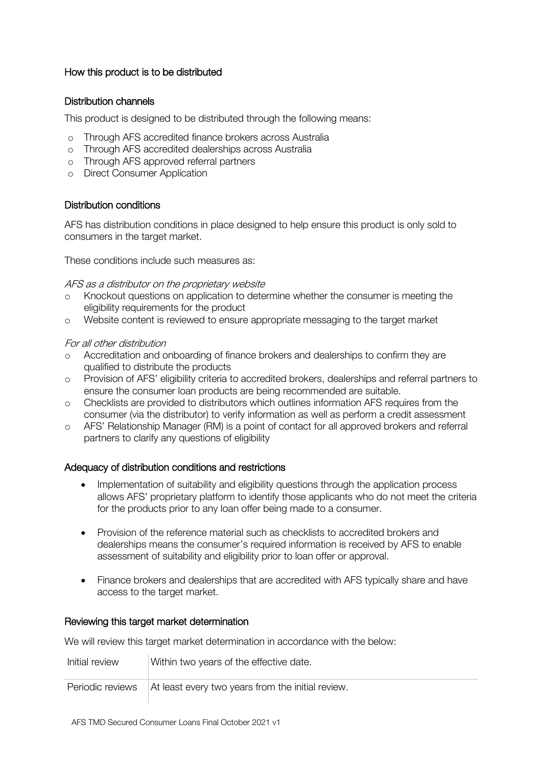# How this product is to be distributed

#### Distribution channels

This product is designed to be distributed through the following means:

- o Through AFS accredited finance brokers across Australia
- o Through AFS accredited dealerships across Australia
- o Through AFS approved referral partners
- o Direct Consumer Application

#### Distribution conditions

AFS has distribution conditions in place designed to help ensure this product is only sold to consumers in the target market.

These conditions include such measures as:

#### AFS as a distributor on the proprietary website

- Knockout questions on application to determine whether the consumer is meeting the eligibility requirements for the product
- o Website content is reviewed to ensure appropriate messaging to the target market

#### For all other distribution

- o Accreditation and onboarding of finance brokers and dealerships to confirm they are qualified to distribute the products
- o Provision of AFS' eligibility criteria to accredited brokers, dealerships and referral partners to ensure the consumer loan products are being recommended are suitable.
- o Checklists are provided to distributors which outlines information AFS requires from the consumer (via the distributor) to verify information as well as perform a credit assessment
- o AFS' Relationship Manager (RM) is a point of contact for all approved brokers and referral partners to clarify any questions of eligibility

#### Adequacy of distribution conditions and restrictions

- Implementation of suitability and eligibility questions through the application process allows AFS' proprietary platform to identify those applicants who do not meet the criteria for the products prior to any loan offer being made to a consumer.
- Provision of the reference material such as checklists to accredited brokers and dealerships means the consumer's required information is received by AFS to enable assessment of suitability and eligibility prior to loan offer or approval.
- Finance brokers and dealerships that are accredited with AFS typically share and have access to the target market.

#### Reviewing this target market determination

We will review this target market determination in accordance with the below:

| Initial review | Within two years of the effective date.                              |
|----------------|----------------------------------------------------------------------|
|                | Periodic reviews   At least every two years from the initial review. |